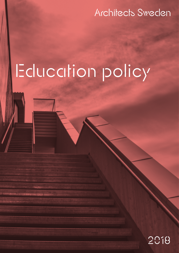### **Architects Sweden**

# Education policy

### 2018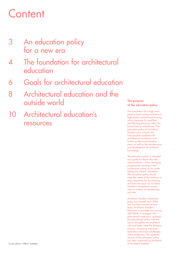# **Content**

- 3 An education policy for a new era
- 4 The foundation for architectural education
- 6 Goals for architectural education
- 8 Architectural education and the outside world
- 10 Architectural education's resources

#### The purpose of the education policy

The foundation for a high competency level among architects is high quality architectural training which prepares for qualified and life-long learning within the broad field of architecture. The education policy of Architects Sweden aims to foster the best possible conditions for architectural academics and further professional development, as well as the maintenance and development of architects' knowledge.

The education policy is intended as a guide for those who educate architects – when changing programmes, starting a new architecture school or for undertaking any related education. The education policy should meet the needs of the students on clear objectives for the training, and form the basis for Architect Sweden's competency assessment in matters of membership and title.

Architects Sweden's education policy has existed since 2004 and has been revised several times. Architects Sweden's Education Committee has, during 2017-2018, in dialogue with educational institutions, updated the educational policy with the aim to strengthen the architect's role and better meet the Bologna process, increasing internationalisation and future challenges of the profession. This updated version of the education policy has been approved by the Board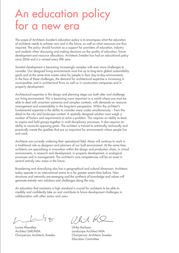### An education policy for a new era

The scope of Architects Sweden's education policy is to encompass what the education of architects needs to achieve now and in the future, as well as what resources are thus required. The policy should function as a support for providers of education, industry and students when discussing and making decisions on the quality of education, future development and resource allocations. Architects Sweden has had an educational policy since 2004 and it is revised every fifth year.

Societal development is becoming increasingly complex with ever more challenges to consider. Our designed living environments must live up to long-term global sustainability goals and at the same time create value for people in their day-to-day environments. In the face of these challenges, the demand for architectural expertise is increasing in municipalities and in architectural firms as well as in construction companies and in property development.

Architectural expertise in the design and planning stage can both alter and challenge our living environment. This is becoming more important in a world where one must be able to deal with uncertain scenarios and complex contexts, with demands on resource management and sustainability in the long-term perspective. Within the architect's fundamental expertise is the ability to consider many scales simultaneously – from the detail to the city and landscape context. A spatially designed solution must weigh a number of factors and requirements to solve a problem. This requires an ability to lead, to inspire and hold groups together in multi-disciplinary processes. It also requires an ability to reconcile opposing goals. The architect is trained to artistically, technically and practically create the qualities that are so important for environments where people live and work.

Architects are currently widening their operational field. Many will continue to work in a traditional role as designers and planners of our built environment. At the same time, architects are specialising in innovation within the design and production chain, in virtual environments, in research and development, in property development, in ecological processes and in management. The architect's core competencies will be an asset in several entirely new areas in the future.

Broadening and diversifying also has a geographical and cultural dimension. Architects today operate in an international arena to a far greater extent than before. New structures and networks are emerging and the synthesis of knowledge and values will generate entirely new solutions and challenges along the way.

An education that maintains a high standard is crucial for architects to be able to credibly and confidently take on and contribute to future development challenges in collaboration with other actors and users.

Louise Masreliez Ulrika Karlsson Architect SAR/MSA Landscape Architect MSA

 $172-$ 

Chairperson Architects Sweden Chairperson Architects Sweden Education Committee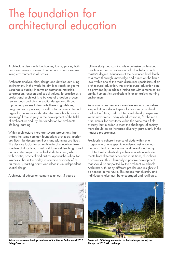## The foundation for architectural education

Architecture deals with landscapes, towns, places, buildings and interior spaces. In other words: our designed living environment in all scales.

Architects analyse, plan, design and develop our living environment. In this work the aim is to reach long-term sustainable quality, in terms of aesthetics, materials, construction, function and social values. To practice as a professional architect is to by way of a design process, realise ideas and aims in spatial design, and through a planning process to translate these to guidelines, programmes or policies, as well as to communicate and argue for decisions made. Architecture schools have a meaningful role to play in the development of the field of architecture and lay the foundation for architects´ life-long learning.

Within architecture there are several professions that shares the same common foundation: architects, interior architects, landscape architects and planning architects. The decisive factor for an architectural education, irrespective of discipline, is first and foremost teaching based on concrete projects, so-called studioteaching, which with artistic, practical and critical approaches allow for synthesis, that is the ability to combine a variety of requirements, starting points and ideas in an independent spatial design.

Architectural education comprises at least 5 years of

fulltime study and can include a cohesive professional qualification, or a combination of a bachelor's and a master's degree. Education at the advanced level leads to a more thorough knowledge and builds on the basic level within one of the main disciplines specialisms of an architectural education. An architectural education can be provided by academic institutions with a technical-scientific, humanistic-social-scientific or an artistic learning environment.

As commissions become more diverse and comprehensive, additional distinct specialisations may be developed in the future, and architects will develop expertise within new areas. Today ab education is, for the most part, similar for architects within the same main field of study, but in order to meet the challenges of society, there should be an increased diversity, particularly in the master's programmes.

Previously a coherent course of study within one programme at one specific academic institution was the norm. Today the situation is different, and many architectural students shape their education with elements from different academic institutions, disciplines or countries. This is basically a positive development that should be supported by the architecture schools. Architects with many different profiles and insights will be needed in the future. This means that diversity and individual choice must be encouraged and facilitated.



Skissernas museum, Lund, prizewinner of the Kasper Salin-award 2017. Elding Oscarson.



Flatåspark, Göteborg, nominated to the landscape award, the Sienaprize 2017. 02 Landskap.

PHOTO: ULF CELANDER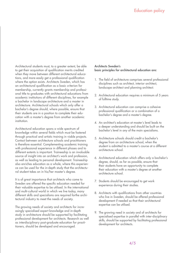Architectural students must, to a greater extent, be able to get their acquisition of qualification merits credited when they move between different architectural educations, and more easily get a professional qualification where the option exists. Architects Sweden, which has an architectural qualification as a basic criterion for membership, currently grants membership and professional title to graduates with architectural educations from academic institutions of different disciplines, for example a bachelor in landscape architecture and a master in architecture. Architectural schools which only offer a bachelor's degree should, where possible, ensure that their students are in a position to complete their education with a master's degree from another academic institution.

Architectural education spans a wide spectrum of knowledge within several fields which must be fostered through practical and artistic training in viable projects. Contact between architecture schools and practitioners is therefore essential. Complementing academic training with professional experience in different phases and to different extents is important. Traineeship is an invaluable source of insight into an architect's work and profession, as well as leading to personal development. Traineeship also enriches education as a whole, where this experience can be used for the in-depth study that the architectural student takes on in his/her master's degree.

It is of great importance that architects who come to Sweden are offered the specific education needed for their valuable expertise to be utilised. In the international and multi-cultural world in which we live today, many different skills and specialisms are required forthe architectural industry to meet the needs of society.

The growing needs of society and architects for increasingly specialised expert knowledge and in-depth study in architecture should be supported by facilitating professional development for architects. Research as well as interdisciplinary post-graduate education for practitioners, should be developed and encouraged.

#### Architects Sweden's basic principles for architectural education are:

- 1. The field of architecture comprises several professional disciplines such as architect, interior architect, landscape architect and planning architect.
- 2. Architectural education requires a minimum of 5 years of fulltime study.
- 3. Architectural education can comprise a cohesive professional qualification or a combination of a bachelor's degree and a master's degree.
- 4. An architect's education at master´s level leads to a deeper understanding and should be built on the bachelor´s level in any of the main specialisms.
- 5. Architecture schools should credit a bachelor's degree from on architecture school, when the student is admitted to a master's course at a different architecture school.
- 6. Architectural education which offers only a bachelor's degree, should, as far as possible, ensure that their students have an opportunity to complete their education with a master's degree at another architecture school.
- 7. Students should be encouraged to get work experience during their studies.
- 8. Architects with qualifications from other countries who live in Sweden, should be offered professional development if needed so that their architectural expertise can be utilised.
- 9. The growing need in society and of architects for specialised expertise in parallel with inter-disciplinary skills, should be supported by facilitating professional development for architects.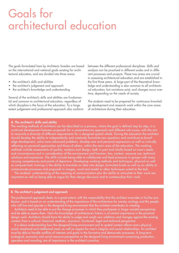### Goals for architectural education

The goals formulated here by Architects Sweden are based on the international and national goals existing for architectural education, and are divided into three areas:

- the architect's skills and abilities
- the architect's judgement and approach
- the architect's knowledge and understanding

Several of the architect's skills and abilities are fundamental and common to architectural education, regardless of which discipline is the focus of the education. To a large extent judgement and professional approach also conform between the different professional disciplines. Skills and analysis can be practised in different scales and in different processes and projects. These two areas are crucial in assessing architectural education and are established in the first three years. A large part of the theoretical knowledge and understanding is also common to all architectural education, but variations exist, and changes occur over time, depending on the needs of society.

The students need to be prepared for continuous knowledge development and research work within the core areas of architecture during their education.

#### A. The architect's skills and ability

The working methods of architects can be described as a process, where the goal is defined step by step, in a continual development between proposals for a comprehensive approach and different sub-issues, with the aim to reconcile a diversity of different requirements for a designed spatial whole. During the education the architect should develop the ability to independently and creatively formulate new questions and contribute to knowledge development, solve more advanced problems, develop new and personal expressions as well as critically reflecting on personal approaches and those of others, within the main area of the education. The working methods include assessments of quality, analysis and design, both in part and wholly based on man's needs and circumstances and in consideration of the environment and function, law, context, resource use, technical solutions and expression. The skills include being able to collaborate and lead processes in groups with many varying competencies and points of departure. Developing working methods and techniques, physical as well as computerised, training in the ability to translate an idea into design, formulate briefs as well as an ability to communicate processes and proposals in images, word and model or other techniques suited to the task.

The students' understanding of the meaning of communication plus the ability to articulate to their work are important as well as being able to argue for their design decisions and to contextualise their work.

#### B. The architect's judgement and approach

The professional approach deals, to a great extent, with the responsibility that the architect must take in his/her profession, and is based on an understanding of the importance of the architecture for society, ecology and the people who will live and operate in the designed living environment that the architect contributes to creating.

Architects need to be able to put the change processes in which they participate in larger societal perspectives and be able to assess them. Here the knowledge of architecture's history is of central importance in the practical design work. Architects should have the ability to judge and weigh new additions and changes against the existing context, from a cultural, historical, aesthetic, economic, functional, legal and technical perspective.

It is about understanding how the designed living environment and its spatial context affects man's physical, social, emotional and intellectual need, as well as respect for man's integrity and social relationships. An architect must be able to handle conflicts of interests and goals in the formative and democratic processes. A long-term ecological, economic and social resource perspective on the designed living environment comprising production, operation and recycling, are of importance in the architect's practice.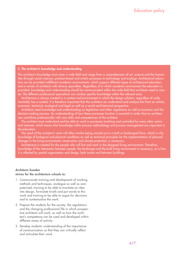#### C. The architect's knowledge and understanding

The architect's knowledge must cover a wide field and range from a comprehension of art ,science and the humanities through social sciences, practice-based and artistic processes to technology and ecology. Architectural education can be provided indifferent academic environments, which support different types of architectural education and a variety of architects with diverse specialties. Regardless of in which academic environment the education is provided, knowledge and understanding should be communicated within the wide field that architects need to master. The different professional specialisms can contain specific knowledge within the relevant area.

Architecture is always created in a context and environment in which the design solution, regardless of scale, inevitably has a context. It is therefore important that the architect can understand and analyse this from an artistic, economic, technical, ecological and legal as well as a social and historical perspective.

Architects need knowledge and understanding on legislation and other regulations as well as economy and the decision-making process. An understanding of how these processes function is essential in order that an architect can contribute professionally with core skills and competencies of the architect.

The architect must understand and be able to work in processes involving and controlled by many other actors and interests, which means that knowledge within process methodology and process management are important in the education.

The result of the architect's work will often involve being carried out in a built or landscaped form, which is why knowledge of biological and physical conditions as well as technical principles for the implementation of planned changes in the living environment, construction and climate protection, is necessary.

Architecture is created for the people who will live and work in the designed living environment. Therefore, knowledge of the interaction between people, the landscape and the built living environment is necessary, as is how it is affected by spatial organisation and design, both inside and between buildings.

#### Architects Sweden strives for the architecture schools to:

- 1. Communicate training and development of working methods and techniques, analogue as well as computerised, training to be able to translate an idea into design, formulate briefs and put words to this work and training to be able to argue for decisions and to contextualise the work.
- 2. Prepare the students for the society, the regulations and the changing professional life in which prospective architects will work, as well as how the architect's competence can be used and developed within different areas of activity.
- 3. Develop students' understanding of the importance of communication so that they can critically reflect and articulate their work.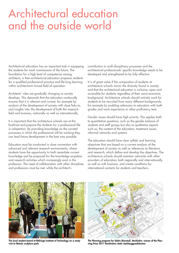### Architectural education and the outside world

Architectural education has an important task in equipping the students for work commissions of the future. The foundation for a high level of competence among architects, is that architectural education prepares students for a qualified professional practice and life-long learning within architecture's broad field of operation.

Architects' roles are gradually changing as society develops. This demands that the education continually ensures that it is relevant and current, for example by analysis of the development of society with close links to, and insights into, the development of both the research field and business, nationally as well as internationally.

It is important that the architecture schools are at the forefront and prepare the students for a professional life in adaptation. By providing knowledge on the societal processes in which the professional will be working they can lead future development in the best way possible.

Education must be conducted in close connection with advanced and relevant research environments, where students have the opportunity to both assimilate current knowledge and be prepared for the knowledge acqisition and research activities which increasingly exist in the profession. The need of collaboration with other disciplines and professions must be met, while the architect's

contribution in multi-disciplinary processes and the architectural professionals' specific knowledge needs to be developed and strengthened to be fully effective.

It is of great value if the composition of students at architecture schools mirror the diversity found in society and that the architectural education is inclusive, open and accessible for students regardless of their socio-economic background. Architecture schools should actively work for students to be recruited from many different backgrounds, for example by enabling admission to education with both grades and work experience or other proficiency tests.

Gender issues should have high priority. This applies both to quantitative questions, such as the gender balance of students and staff groups but also to qualitative aspects such as, the content of the education, treatment issues, informal networks and systems.

The education should have clear syllabi and learning objectives that are based on a current analysis of the development of society as well as references to literature and research, which define and develop the objectives. The architecture schools should maintain networks with other providers of education, both regionally and internationally as well as with business, and create conditions for international contacts for students and teachers.



The local student board at Blekinge Institute of Technology on a study visit to Wanås sculpture park.



The Planning program for Södra Skanstull, Stockholm, winner of the Planning Prize 2017 Stockholms stads stadsbyggnadskontor.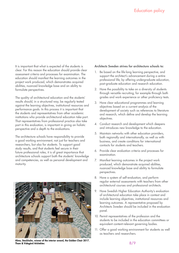It is important that what is expected of the students is clear. For this reason the education should provide clear assessment criteria and processes for examination. The education should manifest the learning outcomes in the project work produced, which demonstrates acquired abilities, nuanced knowledge base and an ability to formulate perspectives.

The quality of architectural education and the students' results should, in a structured way, be regularly tested against the learning objectives, institutional resources and performance goals. In this process it is important that the students and representatives from other academic institutions who provide architectural education take part. That representatives from professional practice also take part in this evaluation, is important in giving an holistic perspective and a depth to the evaluations.

The architecture schools have responsibility to provide a good working environment, not just for teachers and researchers, but also for students. To support good study results, and that students feel secure in their future professional roles, it is of great importance that architecture schools support both the students' knowledge and competencies, as well as personal development and maturity.



Alma, Stockholm, winner of the interior award, the Golden Chair 2017. Tham & Videgård Arkitekter.

#### Architects Sweden strives for architecture schools to:

- 1. Be based on the life-long learning perspective, and support the architect's advancement during a entire professional life, by offering undergraduate education, post-graduate education and research education.
- 2. Have the possibility to take on a diversity of students through versatile recruiting, for example through both grades and work experience or other proficiency tests.
- 3. Have clear educational programmes and learning objectives based on a current analysis of the development of society such as references to literature and research, which define and develop the learning objectives.
- 4. Conduct research and development which deepens and introduces new knowledge to the education.
- 5. Maintain networks with other education providers, both regionally and internationally, as well as with business, and create conditions for international contacts for students and teachers.
- 6. Provide clear evaluation criteria and processes for examination.
- 7. Manifest learning outcomes in the project work produced, which demonstrate acquired abilities, nuanced knowledge base and ability to formulate perspectives.
- 8. Have a system of self-evaluation, and perform regular external assessments with teachers from other architectural courses and professional architects.
- 9. Have Swedish Higher Education Authority's evaluation of architectural education take place in context and include learning objectives, institutional resources and learning outcomes. A representative proposed by Architects Sweden should be included in the evaluation panel.
- 10. Permit representatives of the profession and the students to be included in the education committees or equivalent content-relevant governing bodies.
- 11. Offer a good working environment for students as well as teachers and researchers.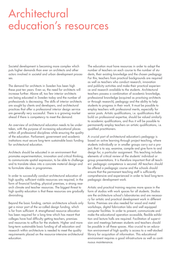### Architectural education's resources

Societal development is becoming more complex which puts higher demands than ever on architects and other actors involved in societal and urban development processes.

The demand for architects in Sweden has been high these past ten years. Even so, the need for architects will increase further. Above all, too few interior architects are being educated in Sweden today and the number of professionals is decreasing. The skills of interior architects are sought by clients and developers, and architectural practices that offer a professional interior design service are generally very successful. There is a growing market ahead if there is competency to meet the demand.

An overview of architectural education needs to be undertaken, with the purpose of increasing educational places within all professional disciplines while ensuring the quality of the education. Parliament, government and academic institutions must secure long-term sustainable basic funding for architectural education.

Architects should be educated in an environment that promotes experimentation, innovation and critical thinking, to communicate spatial expression, to be able to challenge and to translate ideas into a concrete material design and to formulate ideas in programmes.

In order to successfully conduct architectural education of high quality, sufficient viable resources are required, in the form of financial funding, physical premises, a strong research climate and teacher resources. The biggest threat to high quality education is that these resources are gradually diminishing.

Beyond the basic funding, certain architecture schools only get a minor part of the so-called design funding, which is far from sufficient. A strengthened resource allocation has been required for a long time which has meant that colleges have had difficulty getting teachers, premises and resources to suffice for the students. Higher and more long-term sustainable basic funding of all education and research within architecture is needed to meet the quality requirements placed on the resource-intensive architectural education.

The education must have resources in order to adapt the number of teachers on each course to the number of students, their existing knowledge and the chosen pedagogy. For this, teachers from practical backgrounds are required as well as teachers who conduct research, innovation and publicity activities and make their practical experience and research available to the students. Architectural teachers possess a combination of academic knowledge, professional knowledge (acquired as practising architects or through research), pedagogy and the ability to help students to progress in their work. It must be possible to employ teachers with professional merits, especially for senior posts. Artistic qualifications, i.e. qualifications that build on professional expertise, should be valued similarly to academic qualifications, and thus it will be possible to permanently employ teachers on artistic qualifications, i.e. qualified practitioners.

A crucial part of architectural education's pedagogy is based on active learning through project teaching, where students individually or in smaller groups carry out a project, that is to say, examine, compile and give form to and design for, a particular assignment. This teaching includes elements of critical review of the students' individual or group presentations. It is therefore important that all teachers' pedagogic competence is secured. All teachers should be offered a pedagogic course and the schools should ensure that the permanent teaching staff is sufficiently comprehensive and experienced in order to lead long-term pedagogic development work.

Artistic and practical training requires more space in the form of studios with work spaces for all students. Studios are the architecture school´s laboratories and are necessary for artistic and practical development work in different forms. Premises are also needed for wood and metal workshops, digital fabrication labs and well equipped computer facilities. In order to present, communicate and make the educational operation accessible, flexible exhibition and lecture halls are required. Facilitation of supervision and meetings between students and teachers should be possible in all these spaces. Also crucial to an education environment of high quality is access to a well-stocked library for acquisition of information. This educational environment requires a good infrastructure as well as continuous maintenance.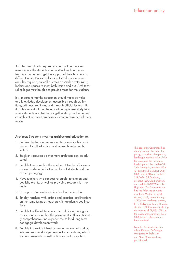Architecture schools require good educational environments where the students can be stimulated and learn from each other, and get the support of their teachers in different ways. Places and spaces for informal meetings are also required, as well as cafés or smaller restaurants, lobbies and spaces to meet both inside and out. Architectural colleges must be able to provide these for the students.

It is important that the education should make activities and knowledge development accessible through exhibitions, critiques, seminars, and through official lectures. But it is also important that the education organises study trips, where students and teachers together study and experience architecture, meet businesses, decision makers and users in situ.

#### Architects Sweden strives for architectural education to:

- 1. Be given higher and more long-term sustainable basic funding for all education and research within architecture.
- 2. Be given resources so that more architects can be educated.
- 3. Be able to ensure that the number of teachers for every course is adequate for the number of students and the chosen pedagogy.
- 4. Have teachers who conduct research, innovation and publicity events, as well as providing research for students.
- 5. Have practising architects involved in the teaching.
- 6. Employ teachers with artistic and practical qualifications on the same terms as teachers with academic qualifications.
- 7. Be able to offer all teachers a foundational pedagogic course, and ensure that the permanent staff is sufficiently comprehensive and experienced to lead long-term pedagogic development work.
- 8. Be able to provide infrastructure in the form of studios, lab premises, workshops, venues for exhibitions, education and research as well as library and computers.

The Education Committee has, during work on this education policy, comprised chairperson, landscape architect MSA Ulrika Karlsson, and the members, landscape architect LAR/MSA Sofia Sandqvist, architect MSA Tor Lindstrand, architect SAR/ MSA Fredrik Nilsson, architect SAR/MSA Erik Stenberg, architect MSA Ulla Bergström and architect SAR/MSA Ebba Högström. The Committee has had the following co-opted members: Martin Törnqvist, student, UMA, Umeå (through 2017); Lina Sandberg, student, BTH, Karlskrona; Fanny Skröder, student, HDK (from and including the meeting of 09/03/2018). In the policy work, architect SAR/ MSA Anders Johansson has been retained.

From the Architects Sweden office, Katarina O Cofaigh, Margareta Wilhelmsson and Nina Maanmies have participated.